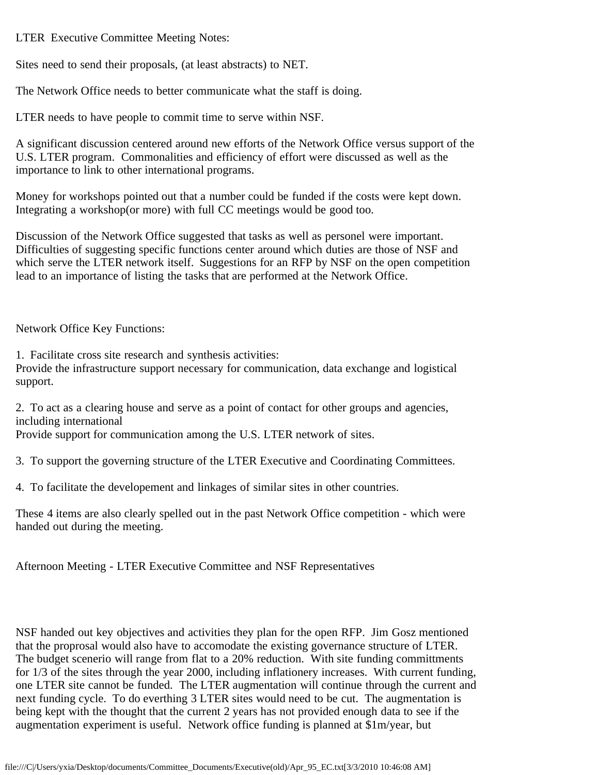LTER Executive Committee Meeting Notes:

Sites need to send their proposals, (at least abstracts) to NET.

The Network Office needs to better communicate what the staff is doing.

LTER needs to have people to commit time to serve within NSF.

A significant discussion centered around new efforts of the Network Office versus support of the U.S. LTER program. Commonalities and efficiency of effort were discussed as well as the importance to link to other international programs.

Money for workshops pointed out that a number could be funded if the costs were kept down. Integrating a workshop(or more) with full CC meetings would be good too.

Discussion of the Network Office suggested that tasks as well as personel were important. Difficulties of suggesting specific functions center around which duties are those of NSF and which serve the LTER network itself. Suggestions for an RFP by NSF on the open competition lead to an importance of listing the tasks that are performed at the Network Office.

Network Office Key Functions:

1. Facilitate cross site research and synthesis activities:

Provide the infrastructure support necessary for communication, data exchange and logistical support.

2. To act as a clearing house and serve as a point of contact for other groups and agencies, including international Provide support for communication among the U.S. LTER network of sites.

3. To support the governing structure of the LTER Executive and Coordinating Committees.

4. To facilitate the developement and linkages of similar sites in other countries.

These 4 items are also clearly spelled out in the past Network Office competition - which were handed out during the meeting.

Afternoon Meeting - LTER Executive Committee and NSF Representatives

NSF handed out key objectives and activities they plan for the open RFP. Jim Gosz mentioned that the proprosal would also have to accomodate the existing governance structure of LTER. The budget scenerio will range from flat to a 20% reduction. With site funding committments for 1/3 of the sites through the year 2000, including inflationery increases. With current funding, one LTER site cannot be funded. The LTER augmentation will continue through the current and next funding cycle. To do everthing 3 LTER sites would need to be cut. The augmentation is being kept with the thought that the current 2 years has not provided enough data to see if the augmentation experiment is useful. Network office funding is planned at \$1m/year, but